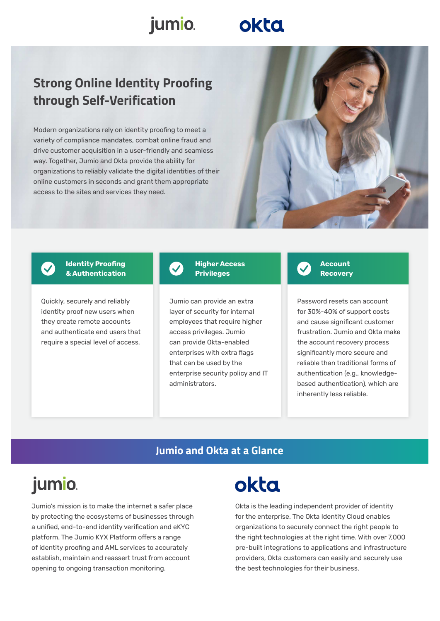### jumio.

## okta

### **Strong Online Identity Proofing through Self-Verification**

Modern organizations rely on identity proofing to meet a variety of compliance mandates, combat online fraud and drive customer acquisition in a user-friendly and seamless way. Together, Jumio and Okta provide the ability for organizations to reliably validate the digital identities of their online customers in seconds and grant them appropriate access to the sites and services they need.





**Identity Proofing & Authentication** 

Quickly, securely and reliably identity proof new users when they create remote accounts and authenticate end users that require a special level of access.



#### **Higher Access Privileges**

Jumio can provide an extra layer of security for internal employees that require higher access privileges. Jumio can provide Okta-enabled enterprises with extra flags that can be used by the enterprise security policy and IT administrators.



Password resets can account for 30%-40% of support costs and cause significant customer frustration. Jumio and Okta make the account recovery process significantly more secure and reliable than traditional forms of authentication (e.g., knowledgebased authentication), which are inherently less reliable.

### **Jumio and Okta at a Glance**

## jumio.

Jumio's mission is to make the internet a safer place by protecting the ecosystems of businesses through a unified, end-to-end identity verification and eKYC platform. The Jumio KYX Platform offers a range of identity proofing and AML services to accurately establish, maintain and reassert trust from account opening to ongoing transaction monitoring.

# **okta**

Okta is the leading independent provider of identity for the enterprise. The Okta Identity Cloud enables organizations to securely connect the right people to the right technologies at the right time. With over 7,000 pre-built integrations to applications and infrastructure providers, Okta customers can easily and securely use the best technologies for their business.